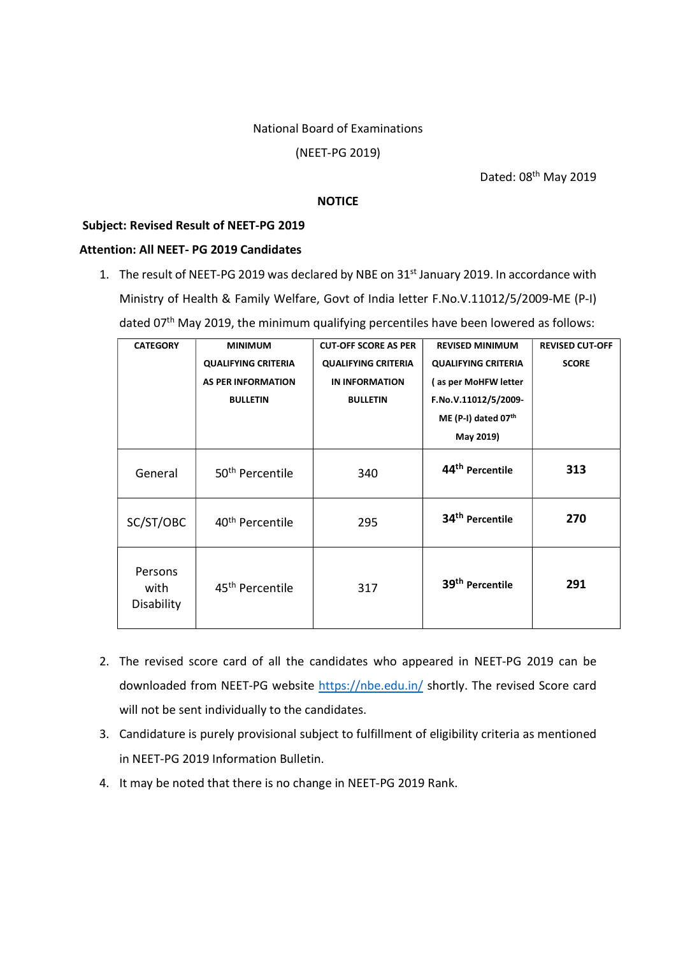## National Board of Examinations

(NEET-PG 2019)

Dated: 08th May 2019

## **NOTICE**

## Subject: Revised Result of NEET-PG 2019

## Attention: All NEET- PG 2019 Candidates

1. The result of NEET-PG 2019 was declared by NBE on 31<sup>st</sup> January 2019. In accordance with Ministry of Health & Family Welfare, Govt of India letter F.No.V.11012/5/2009-ME (P-I) dated 07<sup>th</sup> May 2019, the minimum qualifying percentiles have been lowered as follows:

| <b>CATEGORY</b>               | <b>MINIMUM</b>              | <b>CUT-OFF SCORE AS PER</b> | <b>REVISED MINIMUM</b>      | <b>REVISED CUT-OFF</b> |
|-------------------------------|-----------------------------|-----------------------------|-----------------------------|------------------------|
|                               | <b>QUALIFYING CRITERIA</b>  | <b>QUALIFYING CRITERIA</b>  | <b>QUALIFYING CRITERIA</b>  | <b>SCORE</b>           |
|                               | <b>AS PER INFORMATION</b>   | IN INFORMATION              | (as per MoHFW letter        |                        |
|                               | <b>BULLETIN</b>             | <b>BULLETIN</b>             | F.No.V.11012/5/2009-        |                        |
|                               |                             |                             | ME (P-I) dated $07th$       |                        |
|                               |                             |                             | May 2019)                   |                        |
| General                       | 50 <sup>th</sup> Percentile | 340                         | 44 <sup>th</sup> Percentile | 313                    |
| SC/ST/OBC                     | 40 <sup>th</sup> Percentile | 295                         | 34 <sup>th</sup> Percentile | 270                    |
| Persons<br>with<br>Disability | 45 <sup>th</sup> Percentile | 317                         | 39 <sup>th</sup> Percentile | 291                    |

- 2. The revised score card of all the candidates who appeared in NEET-PG 2019 can be downloaded from NEET-PG website https://nbe.edu.in/ shortly. The revised Score card will not be sent individually to the candidates.
- 3. Candidature is purely provisional subject to fulfillment of eligibility criteria as mentioned in NEET-PG 2019 Information Bulletin.
- 4. It may be noted that there is no change in NEET-PG 2019 Rank.